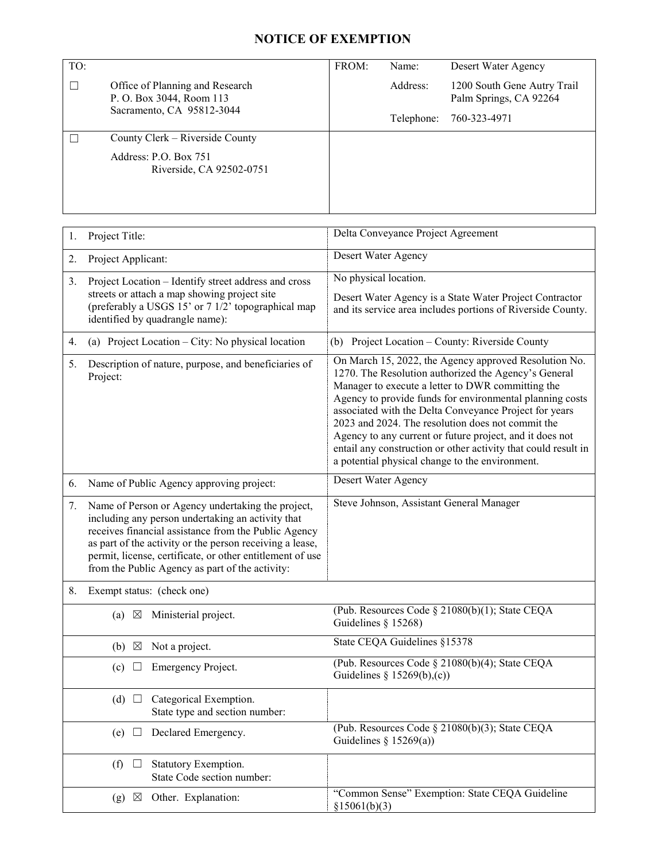## **NOTICE OF EXEMPTION**

| TO: |                                                                                                                  | FROM:                                                       | Name:                              | Desert Water Agency                                                                                               |  |
|-----|------------------------------------------------------------------------------------------------------------------|-------------------------------------------------------------|------------------------------------|-------------------------------------------------------------------------------------------------------------------|--|
|     |                                                                                                                  |                                                             |                                    |                                                                                                                   |  |
| □   | Office of Planning and Research<br>P. O. Box 3044, Room 113                                                      |                                                             | Address:                           | 1200 South Gene Autry Trail<br>Palm Springs, CA 92264                                                             |  |
|     | Sacramento, CA 95812-3044                                                                                        |                                                             |                                    |                                                                                                                   |  |
|     |                                                                                                                  |                                                             | Telephone:                         | 760-323-4971                                                                                                      |  |
| ш   | County Clerk – Riverside County                                                                                  |                                                             |                                    |                                                                                                                   |  |
|     | Address: P.O. Box 751                                                                                            |                                                             |                                    |                                                                                                                   |  |
|     | Riverside, CA 92502-0751                                                                                         |                                                             |                                    |                                                                                                                   |  |
|     |                                                                                                                  |                                                             |                                    |                                                                                                                   |  |
|     |                                                                                                                  |                                                             |                                    |                                                                                                                   |  |
|     |                                                                                                                  |                                                             |                                    |                                                                                                                   |  |
| 1.  | Project Title:                                                                                                   |                                                             | Delta Conveyance Project Agreement |                                                                                                                   |  |
|     |                                                                                                                  |                                                             | Desert Water Agency                |                                                                                                                   |  |
|     | Project Applicant:<br>2.                                                                                         |                                                             |                                    |                                                                                                                   |  |
| 3.  | Project Location – Identify street address and cross                                                             | No physical location.                                       |                                    |                                                                                                                   |  |
|     | streets or attach a map showing project site                                                                     | Desert Water Agency is a State Water Project Contractor     |                                    |                                                                                                                   |  |
|     | (preferably a USGS 15' or 7 1/2' topographical map<br>identified by quadrangle name):                            | and its service area includes portions of Riverside County. |                                    |                                                                                                                   |  |
|     |                                                                                                                  |                                                             |                                    |                                                                                                                   |  |
| 4.  | (a) Project Location – City: No physical location                                                                |                                                             |                                    | (b) Project Location - County: Riverside County                                                                   |  |
| 5.  | Description of nature, purpose, and beneficiaries of                                                             |                                                             |                                    | On March 15, 2022, the Agency approved Resolution No.                                                             |  |
|     | Project:                                                                                                         | 1270. The Resolution authorized the Agency's General        |                                    |                                                                                                                   |  |
|     |                                                                                                                  |                                                             |                                    | Manager to execute a letter to DWR committing the<br>Agency to provide funds for environmental planning costs     |  |
|     |                                                                                                                  |                                                             |                                    | associated with the Delta Conveyance Project for years                                                            |  |
|     |                                                                                                                  |                                                             |                                    | 2023 and 2024. The resolution does not commit the                                                                 |  |
|     |                                                                                                                  |                                                             |                                    | Agency to any current or future project, and it does not                                                          |  |
|     |                                                                                                                  |                                                             |                                    | entail any construction or other activity that could result in<br>a potential physical change to the environment. |  |
|     |                                                                                                                  |                                                             |                                    |                                                                                                                   |  |
| 6.  | Name of Public Agency approving project:                                                                         | Desert Water Agency                                         |                                    |                                                                                                                   |  |
| 7.  | Name of Person or Agency undertaking the project,                                                                |                                                             |                                    | Steve Johnson, Assistant General Manager                                                                          |  |
|     | including any person undertaking an activity that                                                                |                                                             |                                    |                                                                                                                   |  |
|     | receives financial assistance from the Public Agency<br>as part of the activity or the person receiving a lease, |                                                             |                                    |                                                                                                                   |  |
|     | permit, license, certificate, or other entitlement of use                                                        |                                                             |                                    |                                                                                                                   |  |
|     | from the Public Agency as part of the activity:                                                                  |                                                             |                                    |                                                                                                                   |  |
| 8.  | Exempt status: (check one)                                                                                       |                                                             |                                    |                                                                                                                   |  |
|     | Ministerial project.<br>$(a) \boxtimes$                                                                          |                                                             |                                    | (Pub. Resources Code § 21080(b)(1); State CEQA                                                                    |  |
|     |                                                                                                                  | Guidelines § $15268$ )                                      |                                    |                                                                                                                   |  |
|     | Not a project.<br>$(b) \boxtimes$                                                                                |                                                             | State CEQA Guidelines §15378       |                                                                                                                   |  |
|     | Emergency Project.<br>(c)                                                                                        |                                                             |                                    | (Pub. Resources Code § 21080(b)(4); State CEQA                                                                    |  |
|     |                                                                                                                  |                                                             | Guidelines § $15269(b),(c)$        |                                                                                                                   |  |
|     | Categorical Exemption.<br>(d) $\Box$                                                                             |                                                             |                                    |                                                                                                                   |  |
|     | State type and section number:                                                                                   |                                                             |                                    |                                                                                                                   |  |
|     | Declared Emergency.<br>(e)                                                                                       |                                                             |                                    | (Pub. Resources Code § 21080(b)(3); State CEQA                                                                    |  |
|     |                                                                                                                  |                                                             | Guidelines § $15269(a)$ )          |                                                                                                                   |  |
|     | Statutory Exemption.<br>(f)                                                                                      |                                                             |                                    |                                                                                                                   |  |
|     | State Code section number:                                                                                       |                                                             |                                    |                                                                                                                   |  |
|     | Other. Explanation:<br>(g)<br>$\boxtimes$                                                                        | §15061(b)(3)                                                |                                    | "Common Sense" Exemption: State CEQA Guideline                                                                    |  |